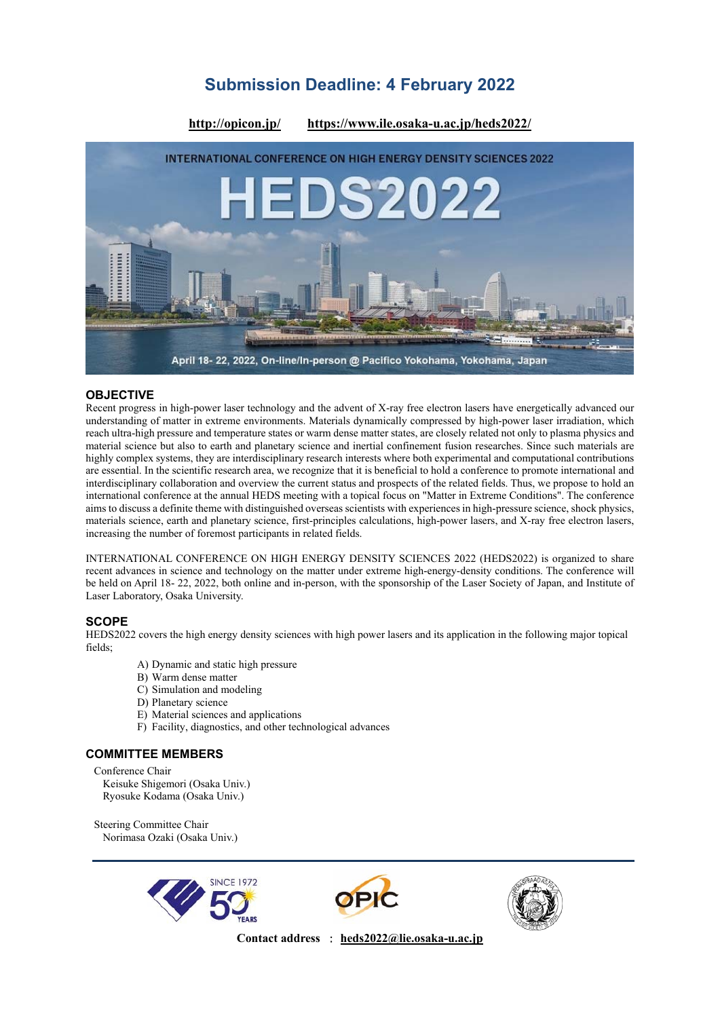# **Submission Deadline: 4 February 2022**



## **OBJECTIVE**

Recent progress in high-power laser technology and the advent of X-ray free electron lasers have energetically advanced our understanding of matter in extreme environments. Materials dynamically compressed by high-power laser irradiation, which reach ultra-high pressure and temperature states or warm dense matter states, are closely related not only to plasma physics and material science but also to earth and planetary science and inertial confinement fusion researches. Since such materials are highly complex systems, they are interdisciplinary research interests where both experimental and computational contributions are essential. In the scientific research area, we recognize that it is beneficial to hold a conference to promote international and interdisciplinary collaboration and overview the current status and prospects of the related fields. Thus, we propose to hold an international conference at the annual HEDS meeting with a topical focus on "Matter in Extreme Conditions". The conference aims to discuss a definite theme with distinguished overseas scientists with experiences in high-pressure science, shock physics, materials science, earth and planetary science, first-principles calculations, high-power lasers, and X-ray free electron lasers, increasing the number of foremost participants in related fields.

INTERNATIONAL CONFERENCE ON HIGH ENERGY DENSITY SCIENCES 2022 (HEDS2022) is organized to share recent advances in science and technology on the matter under extreme high-energy-density conditions. The conference will be held on April 18- 22, 2022, both online and in-person, with the sponsorship of the Laser Society of Japan, and Institute of Laser Laboratory, Osaka University.

## **SCOPE**

HEDS2022 covers the high energy density sciences with high power lasers and its application in the following major topical fields;

- A) Dynamic and static high pressure
- B) Warm dense matter
- C) Simulation and modeling
- D) Planetary science
- E) Material sciences and applications
- F) Facility, diagnostics, and other technological advances

## **COMMITTEE MEMBERS**

Conference Chair Keisuke Shigemori (Osaka Univ.) Ryosuke Kodama (Osaka Univ.)

Steering Committee Chair Norimasa Ozaki (Osaka Univ.)







**Contact address** : **heds2022@lie.osaka-u.ac.jp**